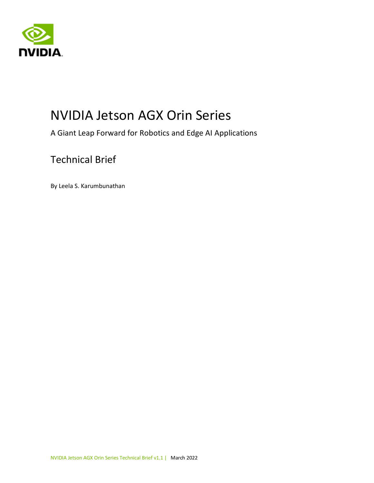



# NVIDIA Jetson AGX Orin Series

A Giant Leap Forward for Robotics and Edge AI Applications

#### Technical Brief

By Leela S. Karumbunathan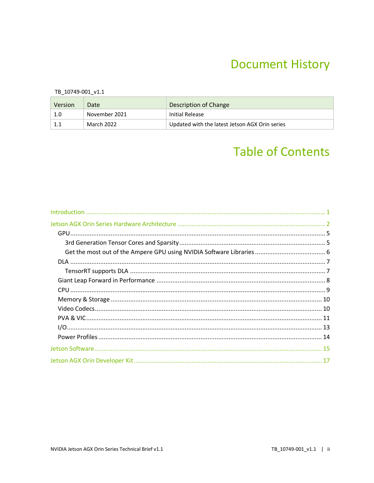## **Document History**

TB\_10749-001\_v1.1

| Version | Date          | Description of Change                          |
|---------|---------------|------------------------------------------------|
| 1.0     | November 2021 | Initial Release                                |
|         | March 2022    | Updated with the latest Jetson AGX Orin series |

# **Table of Contents**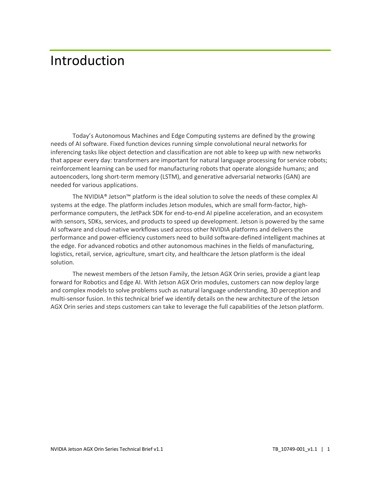## <span id="page-2-0"></span>Introduction

Today's Autonomous Machines and Edge Computing systems are defined by the growing needs of AI software. Fixed function devices running simple convolutional neural networks for inferencing tasks like object detection and classification are not able to keep up with new networks that appear every day: transformers are important for natural language processing for service robots; reinforcement learning can be used for manufacturing robots that operate alongside humans; and autoencoders, long short-term memory (LSTM), and generative adversarial networks (GAN) are needed for various applications.

The NVIDIA® Jetson™ platform is the ideal solution to solve the needs of these complex AI systems at the edge. The platform includes Jetson modules, which are small form-factor, highperformance computers, the JetPack SDK for end-to-end AI pipeline acceleration, and an ecosystem with sensors, SDKs, services, and products to speed up development. Jetson is powered by the same AI software and cloud-native workflows used across other NVIDIA platforms and delivers the performance and power-efficiency customers need to build software-defined intelligent machines at the edge. For advanced robotics and other autonomous machines in the fields of manufacturing, logistics, retail, service, agriculture, smart city, and healthcare the Jetson platform is the ideal solution.

The newest members of the Jetson Family, the Jetson AGX Orin series, provide a giant leap forward for Robotics and Edge AI. With Jetson AGX Orin modules, customers can now deploy large and complex models to solve problems such as natural language understanding, 3D perception and multi-sensor fusion. In this technical brief we identify details on the new architecture of the Jetson AGX Orin series and steps customers can take to leverage the full capabilities of the Jetson platform.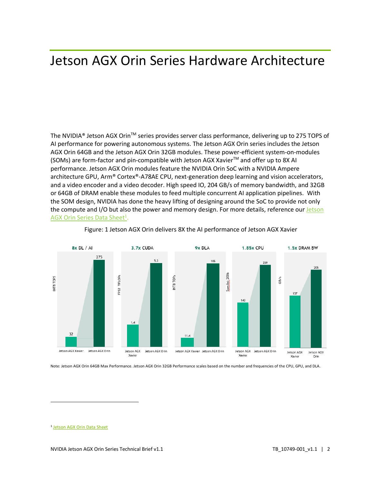# <span id="page-3-0"></span>Jetson AGX Orin Series Hardware Architecture

The NVIDIA® Jetson AGX Orin™ series provides server class performance, delivering up to 275 TOPS of AI performance for powering autonomous systems. The Jetson AGX Orin series includes the Jetson AGX Orin 64GB and the Jetson AGX Orin 32GB modules. These power-efficient system-on-modules (SOMs) are form-factor and pin-compatible with Jetson AGX Xavier™ and offer up to 8X AI performance. Jetson AGX Orin modules feature the NVIDIA Orin SoC with a NVIDIA Ampere architecture GPU, Arm® Cortex®-A78AE CPU, next-generation deep learning and vision accelerators, and a video encoder and a video decoder. High speed IO, 204 GB/s of memory bandwidth, and 32GB or 64GB of DRAM enable these modules to feed multiple concurrent AI application pipelines. With the SOM design, NVIDIA has done the heavy lifting of designing around the SoC to provide not only the compute and I/O but also the power and memory design. For more details, reference our Jetson [AGX Orin Series Data Sheet](https://developer.nvidia.com/embedded/downloads#?search=Jetson%20AGX%20Orin%20Module%20Data%20Sheet)<sup>1</sup>.



#### Figure: 1 Jetson AGX Orin delivers 8X the AI performance of Jetson AGX Xavier

Note: Jetson AGX Orin 64GB Max Performance. Jetson AGX Orin 32GB Performance scales based on the number and frequencies of the CPU, GPU, and DLA.

<sup>1</sup> [Jetson AGX Orin Data Sheet](https://developer.nvidia.com/embedded/downloads#?search=Jetson%20AGX%20Orin%20Module%20Data%20Sheet)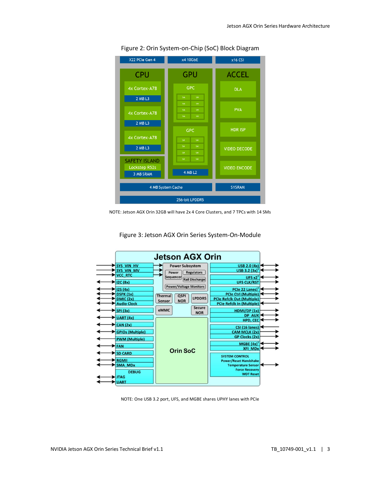

Figure 2: Orin System-on-Chip (SoC) Block Diagram





Figure 3: Jetson AGX Orin Series System-On-Module

NOTE: One USB 3.2 port, UFS, and MGBE shares UPHY lanes with PCIe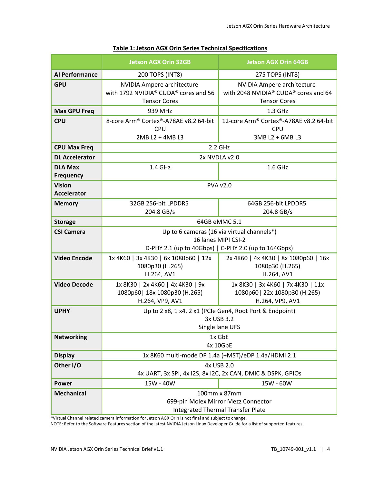|                                                                                        | <b>Jetson AGX Orin 32GB</b>                                                                      | <b>Jetson AGX Orin 64GB</b>                                                                                       |
|----------------------------------------------------------------------------------------|--------------------------------------------------------------------------------------------------|-------------------------------------------------------------------------------------------------------------------|
| <b>Al Performance</b>                                                                  | 200 TOPS (INT8)                                                                                  | 275 TOPS (INT8)                                                                                                   |
| <b>GPU</b>                                                                             | <b>NVIDIA Ampere architecture</b><br>with 1792 NVIDIA® CUDA® cores and 56<br><b>Tensor Cores</b> | NVIDIA Ampere architecture<br>with 2048 NVIDIA <sup>®</sup> CUDA <sup>®</sup> cores and 64<br><b>Tensor Cores</b> |
| <b>Max GPU Freq</b>                                                                    | 939 MHz                                                                                          | $1.3$ GHz                                                                                                         |
| <b>CPU</b>                                                                             | 8-core Arm® Cortex®-A78AE v8.2 64-bit<br><b>CPU</b><br>2MB L2 + 4MB L3                           | 12-core Arm® Cortex®-A78AE v8.2 64-bit<br><b>CPU</b><br>3MB L2 + 6MB L3                                           |
| <b>CPU Max Freq</b>                                                                    |                                                                                                  | $2.2$ GHz                                                                                                         |
| <b>DL Accelerator</b>                                                                  | 2x NVDLA v2.0                                                                                    |                                                                                                                   |
| <b>DLA Max</b><br><b>Frequency</b>                                                     | 1.4 GHz                                                                                          | 1.6 GHz                                                                                                           |
| <b>Vision</b><br><b>Accelerator</b>                                                    | <b>PVA v2.0</b>                                                                                  |                                                                                                                   |
| <b>Memory</b>                                                                          | 32GB 256-bit LPDDR5                                                                              | 64GB 256-bit LPDDR5                                                                                               |
|                                                                                        | 204.8 GB/s                                                                                       | 204.8 GB/s                                                                                                        |
| <b>Storage</b>                                                                         | 64GB eMMC 5.1                                                                                    |                                                                                                                   |
| Up to 6 cameras (16 via virtual channels*)<br><b>CSI Camera</b><br>16 lanes MIPI CSI-2 |                                                                                                  |                                                                                                                   |
|                                                                                        |                                                                                                  | D-PHY 2.1 (up to 40Gbps)   C-PHY 2.0 (up to 164Gbps)                                                              |
| <b>Video Encode</b>                                                                    | 1x 4K60   3x 4K30   6x 1080p60   12x<br>1080p30 (H.265)<br>H.264, AV1                            | 2x 4K60   4x 4K30   8x 1080p60   16x<br>1080p30 (H.265)<br>H.264, AV1                                             |
| <b>Video Decode</b>                                                                    | 1x 8K30   2x 4K60   4x 4K30   9x<br>1080p60   18x 1080p30 (H.265)<br>H.264, VP9, AV1             | 1x 8K30   3x 4K60   7x 4K30   11x<br>1080p60   22x 1080p30 (H.265)<br>H.264, VP9, AV1                             |
| <b>UPHY</b>                                                                            | Up to 2 x8, 1 x4, 2 x1 (PCIe Gen4, Root Port & Endpoint)<br>3x USB 3.2<br>Single lane UFS        |                                                                                                                   |
| <b>Networking</b>                                                                      | 1x GbE<br>4x 10GbE                                                                               |                                                                                                                   |
| <b>Display</b>                                                                         |                                                                                                  | 1x 8K60 multi-mode DP 1.4a (+MST)/eDP 1.4a/HDMI 2.1                                                               |
| Other I/O                                                                              | 4x USB 2.0                                                                                       |                                                                                                                   |
|                                                                                        |                                                                                                  | 4x UART, 3x SPI, 4x I2S, 8x I2C, 2x CAN, DMIC & DSPK, GPIOS                                                       |
| <b>Power</b>                                                                           | 15W - 40W                                                                                        | 15W - 60W                                                                                                         |
| <b>Mechanical</b>                                                                      | 100mm x 87mm<br>699-pin Molex Mirror Mezz Connector<br><b>Integrated Thermal Transfer Plate</b>  |                                                                                                                   |

#### **Table 1: Jetson AGX Orin Series Technical Specifications**

\*Virtual Channel related camera information for Jetson AGX Orin is not final and subject to change. NOTE: Refer to the Software Features section of the latest NVIDIA Jetson Linux Developer Guide for a list of supported features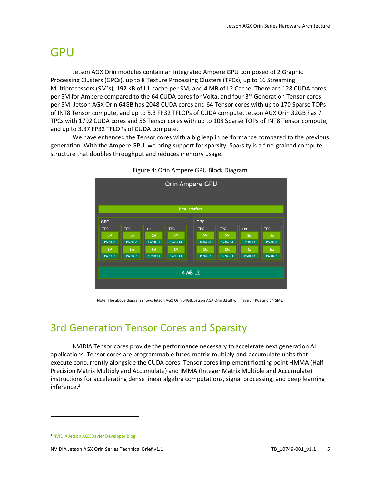## <span id="page-6-0"></span>GPU

Jetson AGX Orin modules contain an integrated Ampere GPU composed of 2 Graphic Processing Clusters (GPCs), up to 8 Texture Processing Clusters (TPCs), up to 16 Streaming Multiprocessors (SM's), 192 KB of L1-cache per SM, and 4 MB of L2 Cache. There are 128 CUDA cores per SM for Ampere compared to the 64 CUDA cores for Volta, and four 3<sup>rd</sup> Generation Tensor cores per SM. Jetson AGX Orin 64GB has 2048 CUDA cores and 64 Tensor cores with up to 170 Sparse TOPs of INT8 Tensor compute, and up to 5.3 FP32 TFLOPs of CUDA compute. Jetson AGX Orin 32GB has 7 TPCs with 1792 CUDA cores and 56 Tensor cores with up to 108 Sparse TOPs of INT8 Tensor compute, and up to 3.37 FP32 TFLOPs of CUDA compute.

We have enhanced the Tensor cores with a big leap in performance compared to the previous generation. With the Ampere GPU, we bring support for sparsity. Sparsity is a fine-grained compute structure that doubles throughput and reduces memory usage.



|  |  | Figure 4: Orin Ampere GPU Block Diagram |
|--|--|-----------------------------------------|
|--|--|-----------------------------------------|

Note: The above diagram shows Jetson AGX Orin 64GB. Jetson AGX Orin 32GB will have 7 TPCs and 14 SMs.

### <span id="page-6-1"></span>3rd Generation Tensor Cores and Sparsity

NVIDIA Tensor cores provide the performance necessary to accelerate next generation AI applications. Tensor cores are programmable fused matrix-multiply-and-accumulate units that execute concurrently alongside the CUDA cores. Tensor cores implement floating point HMMA (Half-Precision Matrix Multiply and Accumulate) and IMMA (Integer Matrix Multiple and Accumulate) instructions for accelerating dense linear algebra computations, signal processing, and deep learning inference.<sup>2</sup>

<sup>2</sup> [NVIDIA Jetson AGX Xavier Developer Blog](https://developer.nvidia.com/blog/nvidia-jetson-agx-xavier-32-teraops-ai-robotics/)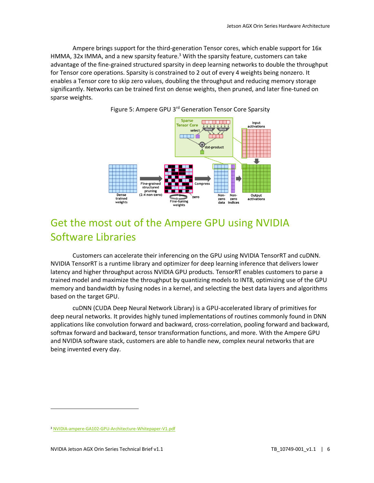Ampere brings support for the third-generation Tensor cores, which enable support for 16x HMMA, 32x IMMA, and a new sparsity feature.<sup>3</sup> With the sparsity feature, customers can take advantage of the fine-grained structured sparsity in deep learning networks to double the throughput for Tensor core operations. Sparsity is constrained to 2 out of every 4 weights being nonzero. It enables a Tensor core to skip zero values, doubling the throughput and reducing memory storage significantly. Networks can be trained first on dense weights, then pruned, and later fine-tuned on sparse weights.



Figure 5: Ampere GPU 3<sup>rd</sup> Generation Tensor Core Sparsity

### <span id="page-7-0"></span>Get the most out of the Ampere GPU using NVIDIA Software Libraries

Customers can accelerate their inferencing on the GPU using NVIDIA TensorRT and cuDNN. NVIDIA TensorRT is a runtime library and optimizer for deep learning inference that delivers lower latency and higher throughput across NVIDIA GPU products. TensorRT enables customers to parse a trained model and maximize the throughput by quantizing models to INT8, optimizing use of the GPU memory and bandwidth by fusing nodes in a kernel, and selecting the best data layers and algorithms based on the target GPU.

cuDNN (CUDA Deep Neural Network Library) is a GPU-accelerated library of primitives for deep neural networks. It provides highly tuned implementations of routines commonly found in DNN applications like convolution forward and backward, cross-correlation, pooling forward and backward, softmax forward and backward, tensor transformation functions, and more. With the Ampere GPU and NVIDIA software stack, customers are able to handle new, complex neural networks that are being invented every day.

<sup>3</sup> [NVIDIA-ampere-GA102-GPU-Architecture-Whitepaper-V1.pdf](https://images.nvidia.com/aem-dam/en-zz/Solutions/geforce/ampere/pdf/NVIDIA-ampere-GA102-GPU-Architecture-Whitepaper-V1.pdf)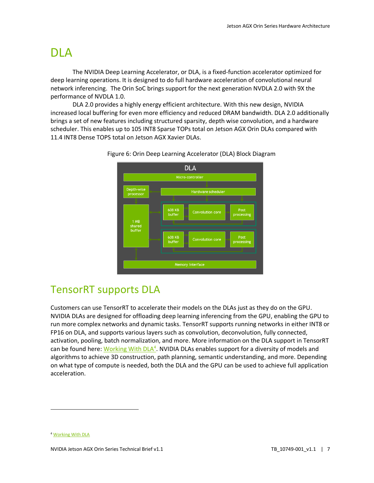## <span id="page-8-0"></span>DLA

The NVIDIA Deep Learning Accelerator, or DLA, is a fixed-function accelerator optimized for deep learning operations. It is designed to do full hardware acceleration of convolutional neural network inferencing. The Orin SoC brings support for the next generation NVDLA 2.0 with 9X the performance of NVDLA 1.0.

DLA 2.0 provides a highly energy efficient architecture. With this new design, NVIDIA increased local buffering for even more efficiency and reduced DRAM bandwidth. DLA 2.0 additionally brings a set of new features including structured sparsity, depth wise convolution, and a hardware scheduler. This enables up to 105 INT8 Sparse TOPs total on Jetson AGX Orin DLAs compared with 11.4 INT8 Dense TOPS total on Jetson AGX Xavier DLAs.



Figure 6: Orin Deep Learning Accelerator (DLA) Block Diagram

#### <span id="page-8-1"></span>TensorRT supports DLA

Customers can use TensorRT to accelerate their models on the DLAs just as they do on the GPU. NVIDIA DLAs are designed for offloading deep learning inferencing from the GPU, enabling the GPU to run more complex networks and dynamic tasks. TensorRT supports running networks in either INT8 or FP16 on DLA, and supports various layers such as convolution, deconvolution, fully connected, activation, pooling, batch normalization, and more. More information on the DLA support in TensorRT can be found here[: Working With DLA](https://docs.nvidia.com/deeplearning/tensorrt/developer-guide/index.html#dla_topic)<sup>4</sup>. NVIDIA DLAs enables support for a diversity of models and algorithms to achieve 3D construction, path planning, semantic understanding, and more. Depending on what type of compute is needed, both the DLA and the GPU can be used to achieve full application acceleration.

<sup>4</sup> [Working With DLA](https://docs.nvidia.com/deeplearning/tensorrt/developer-guide/index.html#dla_topic)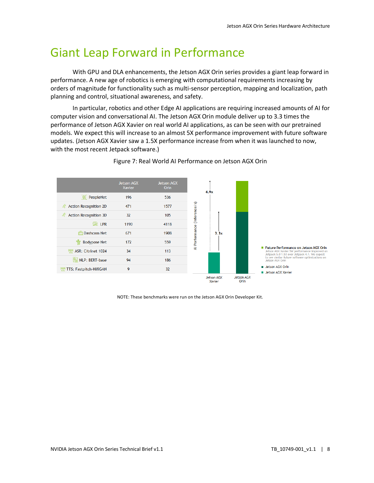### <span id="page-9-0"></span>Giant Leap Forward in Performance

With GPU and DLA enhancements, the Jetson AGX Orin series provides a giant leap forward in performance. A new age of robotics is emerging with computational requirements increasing by orders of magnitude for functionality such as multi-sensor perception, mapping and localization, path planning and control, situational awareness, and safety.

In particular, robotics and other Edge AI applications are requiring increased amounts of AI for computer vision and conversational AI. The Jetson AGX Orin module deliver up to 3.3 times the performance of Jetson AGX Xavier on real world AI applications, as can be seen with our pretrained models. We expect this will increase to an almost 5X performance improvement with future software updates. (Jetson AGX Xavier saw a 1.5X performance increase from when it was launched to now, with the most recent Jetpack software.)



Figure 7: Real World AI Performance on Jetson AGX Orin

NOTE: These benchmarks were run on the Jetson AGX Orin Developer Kit.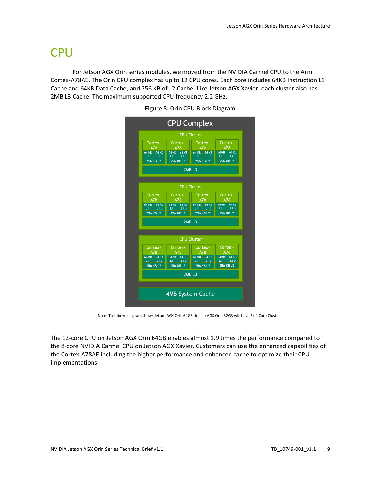## <span id="page-10-0"></span>**CPU**

For Jetson AGX Orin series modules, we moved from the NVIDIA Carmel CPU to the Arm Cortex-A78AE. The Orin CPU complex has up to 12 CPU cores. Each core includes 64KB Instruction L1 Cache and 64KB Data Cache, and 256 KB of L2 Cache. Like Jetson AGX Xavier, each cluster also has 2MB L3 Cache. The maximum supported CPU frequency 2.2 GHz.



Figure 8: Orin CPU Block Diagram

Note: The above diagram shows Jetson AGX Orin 64GB. Jetson AGX Orin 32GB will have 2x 4 Core Clusters.

The 12-core CPU on Jetson AGX Orin 64GB enables almost 1.9 times the performance compared to the 8-core NVIDIA Carmel CPU on Jetson AGX Xavier. Customers can use the enhanced capabilities of the Cortex-A78AE including the higher performance and enhanced cache to optimize their CPU implementations.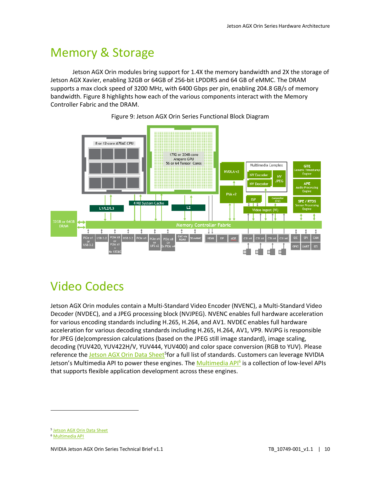## <span id="page-11-0"></span>Memory & Storage

Jetson AGX Orin modules bring support for 1.4X the memory bandwidth and 2X the storage of Jetson AGX Xavier, enabling 32GB or 64GB of 256-bit LPDDR5 and 64 GB of eMMC. The DRAM supports a max clock speed of 3200 MHz, with 6400 Gbps per pin, enabling 204.8 GB/s of memory bandwidth. Figure 8 highlights how each of the various components interact with the Memory Controller Fabric and the DRAM.



Figure 9: Jetson AGX Orin Series Functional Block Diagram

# <span id="page-11-1"></span>Video Codecs

Jetson AGX Orin modules contain a Multi-Standard Video Encoder (NVENC), a Multi-Standard Video Decoder (NVDEC), and a JPEG processing block (NVJPEG). NVENC enables full hardware acceleration for various encoding standards including H.265, H.264, and AV1. NVDEC enables full hardware acceleration for various decoding standards including H.265, H.264, AV1, VP9. NVJPG is responsible for JPEG (de)compression calculations (based on the JPEG still image standard), image scaling, decoding (YUV420, YUV422H/V, YUV444, YUV400) and color space conversion (RGB to YUV). Please reference the [Jetson AGX Orin Data Sheet](https://developer.nvidia.com/embedded/downloads#?search=Jetson%20AGX%20Orin%20Module%20Data%20Sheet)<sup>5</sup>for a full list of standards. Customers can leverage NVIDIA Jetson's Multimedia API to power these engines. The <u>Multimedia API<sup>6</sup></u> is a collection of low-level APIs that supports flexible application development across these engines.

<sup>5</sup> [Jetson AGX Orin Data Sheet](https://developer.nvidia.com/embedded/downloads#?search=Jetson%20AGX%20Orin%20Module%20Data%20Sheet)

<sup>6</sup> [Multimedia API](https://docs.nvidia.com/jetson/l4t-multimedia/index.html)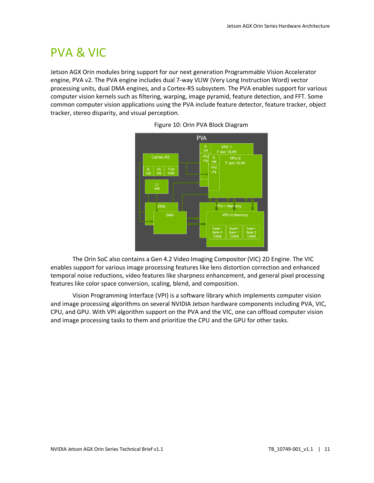# <span id="page-12-0"></span>PVA & VIC

Jetson AGX Orin modules bring support for our next generation Programmable Vision Accelerator engine, PVA v2. The PVA engine includes dual 7-way VLIW (Very Long Instruction Word) vector processing units, dual DMA engines, and a Cortex-R5 subsystem. The PVA enables support for various computer vision kernels such as filtering, warping, image pyramid, feature detection, and FFT. Some common computer vision applications using the PVA include feature detector, feature tracker, object tracker, stereo disparity, and visual perception.





The Orin SoC also contains a Gen 4.2 Video Imaging Compositor (VIC) 2D Engine. The VIC enables support for various image processing features like lens distortion correction and enhanced temporal noise reductions, video features like sharpness enhancement, and general pixel processing features like color space conversion, scaling, blend, and composition.

Vision Programming Interface (VPI) is a software library which implements computer vision and image processing algorithms on several NVIDIA Jetson hardware components including PVA, VIC, CPU, and GPU. With VPI algorithm support on the PVA and the VIC, one can offload computer vision and image processing tasks to them and prioritize the CPU and the GPU for other tasks.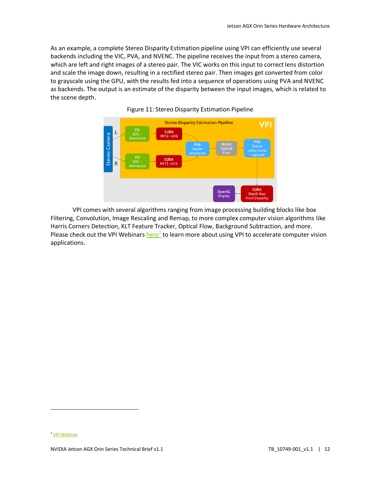As an example, a complete Stereo Disparity Estimation pipeline using VPI can efficiently use several backends including the VIC, PVA, and NVENC. The pipeline receives the input from a stereo camera, which are left and right images of a stereo pair. The VIC works on this input to correct lens distortion and scale the image down, resulting in a rectified stereo pair. Then images get converted from color to grayscale using the GPU, with the results fed into a sequence of operations using PVA and NVENC as backends. The output is an estimate of the disparity between the input images, which is related to the scene depth.



Figure 11: Stereo Disparity Estimation Pipeline

VPI comes with several algorithms ranging from image processing building blocks like box Filtering, Convolution, Image Rescaling and Remap, to more complex computer vision algorithms like Harris Corners Detection, KLT Feature Tracker, Optical Flow, Background Subtraction, and more. Please check out the VPI Webinars *[here](https://info.nvidia.com/VPI-webinar-reg-page.html)<sup>7</sup>* to learn more about using VPI to accelerate computer vision applications.

<sup>7</sup> [VPI Webinar](https://info.nvidia.com/VPI-webinar-reg-page.html)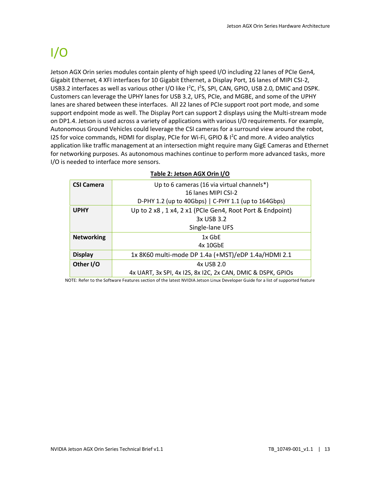# <span id="page-14-0"></span> $I/O$

Jetson AGX Orin series modules contain plenty of high speed I/O including 22 lanes of PCIe Gen4, Gigabit Ethernet, 4 XFI interfaces for 10 Gigabit Ethernet, a Display Port, 16 lanes of MIPI CSI-2, USB3.2 interfaces as well as various other I/O like I<sup>2</sup>C, I<sup>2</sup>S, SPI, CAN, GPIO, USB 2.0, DMIC and DSPK. Customers can leverage the UPHY lanes for USB 3.2, UFS, PCIe, and MGBE, and some of the UPHY lanes are shared between these interfaces. All 22 lanes of PCIe support root port mode, and some support endpoint mode as well. The Display Port can support 2 displays using the Multi-stream mode on DP1.4. Jetson is used across a variety of applications with various I/O requirements. For example, Autonomous Ground Vehicles could leverage the CSI cameras for a surround view around the robot, I2S for voice commands, HDMI for display, PCIe for Wi-Fi, GPIO & I<sup>2</sup>C and more. A video analytics application like traffic management at an intersection might require many GigE Cameras and Ethernet for networking purposes. As autonomous machines continue to perform more advanced tasks, more I/O is needed to interface more sensors.

| <b>CSI Camera</b> | Up to 6 cameras (16 via virtual channels*)                  |
|-------------------|-------------------------------------------------------------|
|                   | 16 Janes MIPI CSI-2                                         |
|                   | D-PHY 1.2 (up to 40Gbps)   C-PHY 1.1 (up to 164Gbps)        |
| <b>UPHY</b>       | Up to 2 x8, 1 x4, 2 x1 (PCIe Gen4, Root Port & Endpoint)    |
|                   | 3x USB 3.2                                                  |
|                   | Single-lane UFS                                             |
| <b>Networking</b> | $1x$ GbE                                                    |
|                   | 4x 10GbE                                                    |
| <b>Display</b>    | 1x 8K60 multi-mode DP 1.4a (+MST)/eDP 1.4a/HDMI 2.1         |
| Other I/O         | 4x USB 2.0                                                  |
|                   | 4x UART, 3x SPI, 4x 12S, 8x 12C, 2x CAN, DMIC & DSPK, GPIOS |

#### **Table 2: Jetson AGX Orin I/O**

NOTE: Refer to the Software Features section of the latest NVIDIA Jetson Linux Developer Guide for a list of supported feature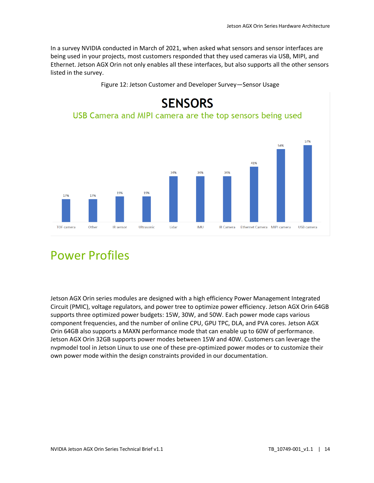In a survey NVIDIA conducted in March of 2021, when asked what sensors and sensor interfaces are being used in your projects, most customers responded that they used cameras via USB, MIPI, and Ethernet. Jetson AGX Orin not only enables all these interfaces, but also supports all the other sensors listed in the survey.



#### Figure 12: Jetson Customer and Developer Survey—Sensor Usage

## <span id="page-15-0"></span>Power Profiles

Jetson AGX Orin series modules are designed with a high efficiency Power Management Integrated Circuit (PMIC), voltage regulators, and power tree to optimize power efficiency. Jetson AGX Orin 64GB supports three optimized power budgets: 15W, 30W, and 50W. Each power mode caps various component frequencies, and the number of online CPU, GPU TPC, DLA, and PVA cores. Jetson AGX Orin 64GB also supports a MAXN performance mode that can enable up to 60W of performance. Jetson AGX Orin 32GB supports power modes between 15W and 40W. Customers can leverage the nvpmodel tool in Jetson Linux to use one of these pre-optimized power modes or to customize their own power mode within the design constraints provided in our documentation.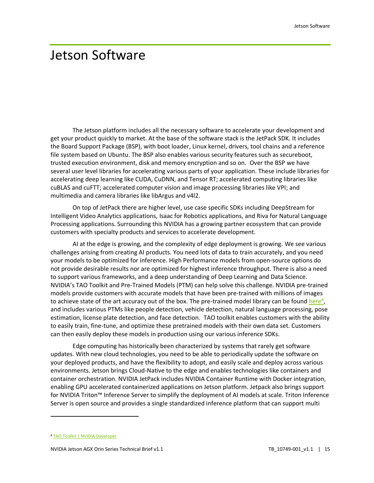### <span id="page-16-0"></span>Jetson Software

The Jetson platform includes all the necessary software to accelerate your development and get your product quickly to market. At the base of the software stack is the JetPack SDK. It includes the Board Support Package (BSP), with boot loader, Linux kernel, drivers, tool chains and a reference file system based on Ubuntu. The BSP also enables various security features such as secureboot, trusted execution environment, disk and memory encryption and so on. Over the BSP we have several user level libraries for accelerating various parts of your application. These include libraries for accelerating deep learning like CUDA, CuDNN, and Tensor RT; accelerated computing libraries like cuBLAS and cuFTT; accelerated computer vision and image processing libraries like VPI; and multimedia and camera libraries like libArgus and v4l2.

On top of JetPack there are higher level, use case specific SDKs including DeepStream for Intelligent Video Analytics applications, Isaac for Robotics applications, and Riva for Natural Language Processing applications. Surrounding this NVIDIA has a growing partner ecosystem that can provide customers with specialty products and services to accelerate development.

AI at the edge is growing, and the complexity of edge deployment is growing. We see various challenges arising from creating AI products. You need lots of data to train accurately, and you need your models to be optimized for inference. High Performance models from open-source options do not provide desirable results nor are optimized for highest inference throughput. There is also a need to support various frameworks, and a deep understanding of Deep Learning and Data Science. NVIDIA's TAO Toolkit and Pre-Trained Models (PTM) can help solve this challenge. NVIDIA pre-trained models provide customers with accurate models that have been pre-trained with millions of images to achieve state of the art accuracy out of the box. The pre-trained model library can be found [here](https://developer.nvidia.com/tao-toolkit)<sup>8</sup>, and includes various PTMs like people detection, vehicle detection, natural language processing, pose estimation, license plate detection, and face detection. TAO toolkit enables customers with the ability to easily train, fine-tune, and optimize these pretrained models with their own data set. Customers can then easily deploy these models in production using our various inference SDKs.

Edge computing has historically been characterized by systems that rarely get software updates. With new cloud technologies, you need to be able to periodically update the software on your deployed products, and have the flexibility to adopt, and easily scale and deploy across various environments. Jetson brings Cloud-Native to the edge and enables technologies like containers and container orchestration. NVIDIA JetPack includes NVIDIA Container Runtime with Docker integration, enabling GPU accelerated containerized applications on Jetson platform. Jetpack also brings support for NVIDIA Triton™ Inference Server to simplify the deployment of AI models at scale. Triton Inference Server is open source and provides a single standardized inference platform that can support multi

<sup>8</sup> [TAO Toolkit | NVIDIA Developer](https://developer.nvidia.com/tao-toolkit)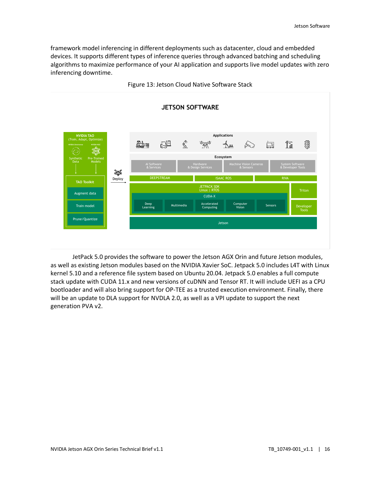framework model inferencing in different deployments such as datacenter, cloud and embedded devices. It supports different types of inference queries through advanced batching and scheduling algorithms to maximize performance of your AI application and supports live model updates with zero inferencing downtime.



Figure 13: Jetson Cloud Native Software Stack

JetPack 5.0 provides the software to power the Jetson AGX Orin and future Jetson modules, as well as existing Jetson modules based on the NVIDIA Xavier SoC. Jetpack 5.0 includes L4T with Linux kernel 5.10 and a reference file system based on Ubuntu 20.04. Jetpack 5.0 enables a full compute stack update with CUDA 11.x and new versions of cuDNN and Tensor RT. It will include UEFI as a CPU bootloader and will also bring support for OP-TEE as a trusted execution environment. Finally, there will be an update to DLA support for NVDLA 2.0, as well as a VPI update to support the next generation PVA v2.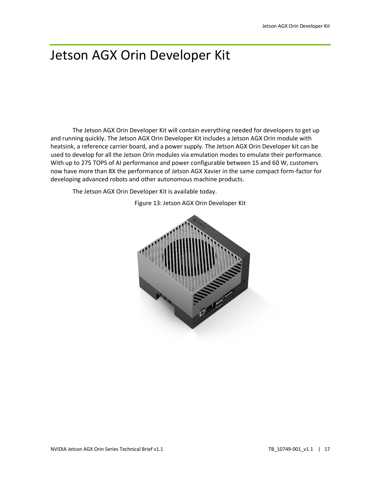## <span id="page-18-0"></span>Jetson AGX Orin Developer Kit

The Jetson AGX Orin Developer Kit will contain everything needed for developers to get up and running quickly. The Jetson AGX Orin Developer Kit includes a Jetson AGX Orin module with heatsink, a reference carrier board, and a power supply. The Jetson AGX Orin Developer kit can be used to develop for all the Jetson Orin modules via emulation modes to emulate their performance. With up to 275 TOPS of AI performance and power configurable between 15 and 60 W, customers now have more than 8X the performance of Jetson AGX Xavier in the same compact form-factor for developing advanced robots and other autonomous machine products.

The Jetson AGX Orin Developer Kit is available today.



Figure 13: Jetson AGX Orin Developer Kit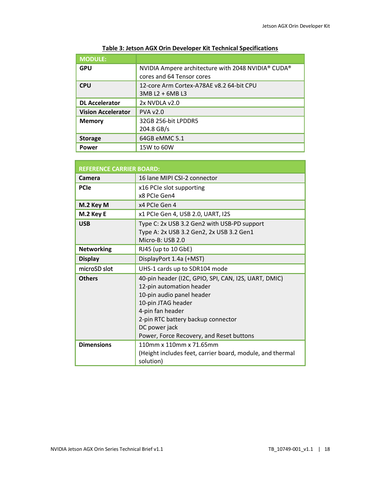| <b>MODULE:</b>            |                                                    |
|---------------------------|----------------------------------------------------|
| <b>GPU</b>                | NVIDIA Ampere architecture with 2048 NVIDIA® CUDA® |
|                           | cores and 64 Tensor cores                          |
| <b>CPU</b>                | 12-core Arm Cortex-A78AE v8.2 64-bit CPU           |
|                           | 3MB L2 + 6MB L3                                    |
| <b>DL Accelerator</b>     | 2x NVDLA v2.0                                      |
| <b>Vision Accelerator</b> | <b>PVA v2.0</b>                                    |
| <b>Memory</b>             | 32GB 256-bit LPDDR5                                |
|                           | 204.8 GB/s                                         |
| <b>Storage</b>            | 64GB eMMC 5.1                                      |
| Power                     | 15W to 60W                                         |

#### **Table 3: Jetson AGX Orin Developer Kit Technical Specifications**

| <b>REFERENCE CARRIER BOARD:</b> |                                                           |  |
|---------------------------------|-----------------------------------------------------------|--|
| Camera                          | 16 Jane MIPI CSI-2 connector                              |  |
| <b>PCIe</b>                     | x16 PCIe slot supporting                                  |  |
|                                 | x8 PCIe Gen4                                              |  |
| M.2 Key M                       | x4 PCIe Gen 4                                             |  |
| M.2 Key E                       | x1 PCIe Gen 4, USB 2.0, UART, I2S                         |  |
| <b>USB</b>                      | Type C: 2x USB 3.2 Gen2 with USB-PD support               |  |
|                                 | Type A: 2x USB 3.2 Gen2, 2x USB 3.2 Gen1                  |  |
|                                 | Micro-B: USB 2.0                                          |  |
| <b>Networking</b>               | RJ45 (up to 10 GbE)                                       |  |
| <b>Display</b>                  | DisplayPort 1.4a (+MST)                                   |  |
| microSD slot                    | UHS-1 cards up to SDR104 mode                             |  |
| <b>Others</b>                   | 40-pin header (I2C, GPIO, SPI, CAN, I2S, UART, DMIC)      |  |
|                                 | 12-pin automation header                                  |  |
|                                 | 10-pin audio panel header                                 |  |
|                                 | 10-pin JTAG header                                        |  |
|                                 | 4-pin fan header                                          |  |
|                                 | 2-pin RTC battery backup connector                        |  |
|                                 | DC power jack                                             |  |
|                                 | Power, Force Recovery, and Reset buttons                  |  |
| <b>Dimensions</b>               | 110mm x 110mm x 71.65mm                                   |  |
|                                 | (Height includes feet, carrier board, module, and thermal |  |
|                                 | solution)                                                 |  |